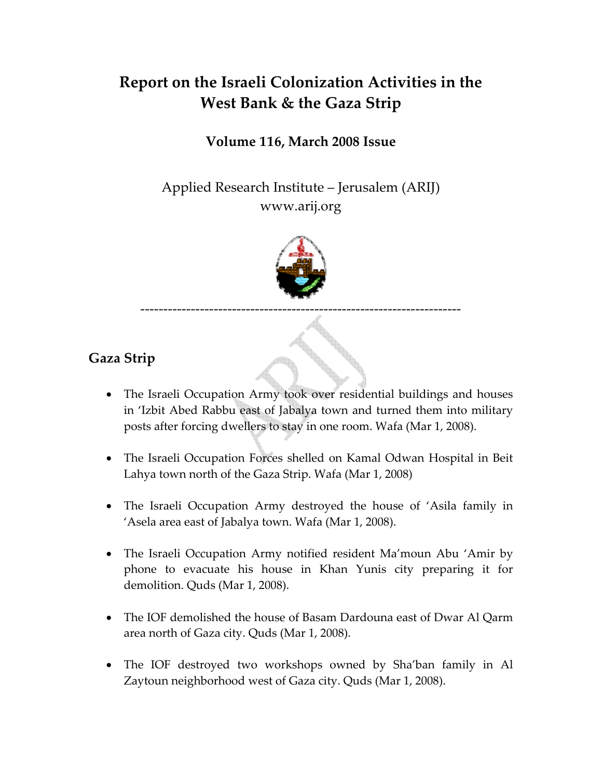# **Report on the Israeli Colonization Activities in the West Bank & the Gaza Strip**

## **Volume 116, March 2008 Issue**

Applied Research Institute – Jerusalem (ARIJ) www.arij.org



**Gaza Strip** 

- The Israeli Occupation Army took over residential buildings and houses in 'Izbit Abed Rabbu east of Jabalya town and turned them into military posts after forcing dwellers to stay in one room. Wafa (Mar 1, 2008).
- The Israeli Occupation Forces shelled on Kamal Odwan Hospital in Beit Lahya town north of the Gaza Strip. Wafa (Mar 1, 2008)
- The Israeli Occupation Army destroyed the house of 'Asila family in 'Asela area east of Jabalya town. Wafa (Mar 1, 2008).
- The Israeli Occupation Army notified resident Ma'moun Abu 'Amir by phone to evacuate his house in Khan Yunis city preparing it for demolition. Quds (Mar 1, 2008).
- The IOF demolished the house of Basam Dardouna east of Dwar Al Qarm area north of Gaza city. Quds (Mar 1, 2008).
- The IOF destroyed two workshops owned by Sha'ban family in Al Zaytoun neighborhood west of Gaza city. Quds (Mar 1, 2008).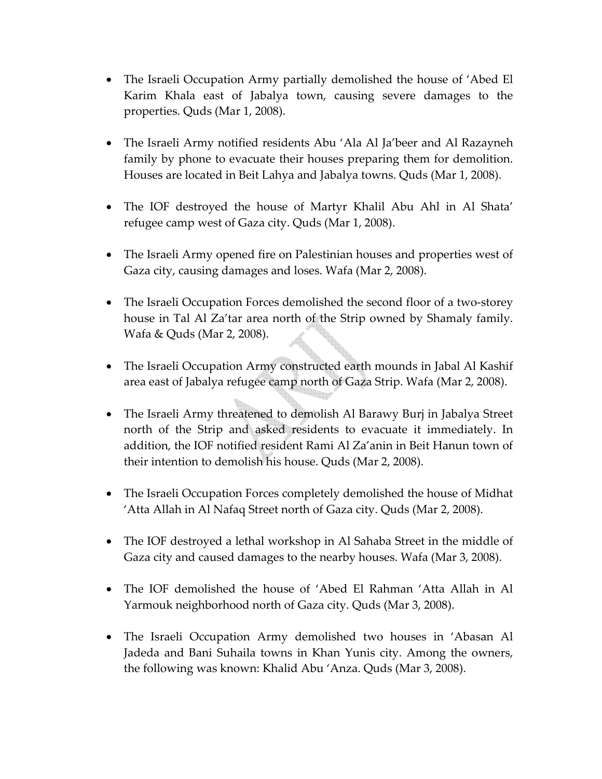- The Israeli Occupation Army partially demolished the house of 'Abed El Karim Khala east of Jabalya town, causing severe damages to the properties. Quds (Mar 1, 2008).
- The Israeli Army notified residents Abu 'Ala Al Ja'beer and Al Razayneh family by phone to evacuate their houses preparing them for demolition. Houses are located in Beit Lahya and Jabalya towns. Quds (Mar 1, 2008).
- The IOF destroyed the house of Martyr Khalil Abu Ahl in Al Shata' refugee camp west of Gaza city. Quds (Mar 1, 2008).
- The Israeli Army opened fire on Palestinian houses and properties west of Gaza city, causing damages and loses. Wafa (Mar 2, 2008).
- The Israeli Occupation Forces demolished the second floor of a two-storey house in Tal Al Za'tar area north of the Strip owned by Shamaly family. Wafa & Quds (Mar 2, 2008).
- The Israeli Occupation Army constructed earth mounds in Jabal Al Kashif area east of Jabalya refugee camp north of Gaza Strip. Wafa (Mar 2, 2008).
- The Israeli Army threatened to demolish Al Barawy Burj in Jabalya Street north of the Strip and asked residents to evacuate it immediately. In addition, the IOF notified resident Rami Al Za'anin in Beit Hanun town of their intention to demolish his house. Quds (Mar 2, 2008).
- The Israeli Occupation Forces completely demolished the house of Midhat 'Atta Allah in Al Nafaq Street north of Gaza city. Quds (Mar 2, 2008).
- The IOF destroyed a lethal workshop in Al Sahaba Street in the middle of Gaza city and caused damages to the nearby houses. Wafa (Mar 3, 2008).
- The IOF demolished the house of 'Abed El Rahman 'Atta Allah in Al Yarmouk neighborhood north of Gaza city. Quds (Mar 3, 2008).
- The Israeli Occupation Army demolished two houses in 'Abasan Al Jadeda and Bani Suhaila towns in Khan Yunis city. Among the owners, the following was known: Khalid Abu 'Anza. Quds (Mar 3, 2008).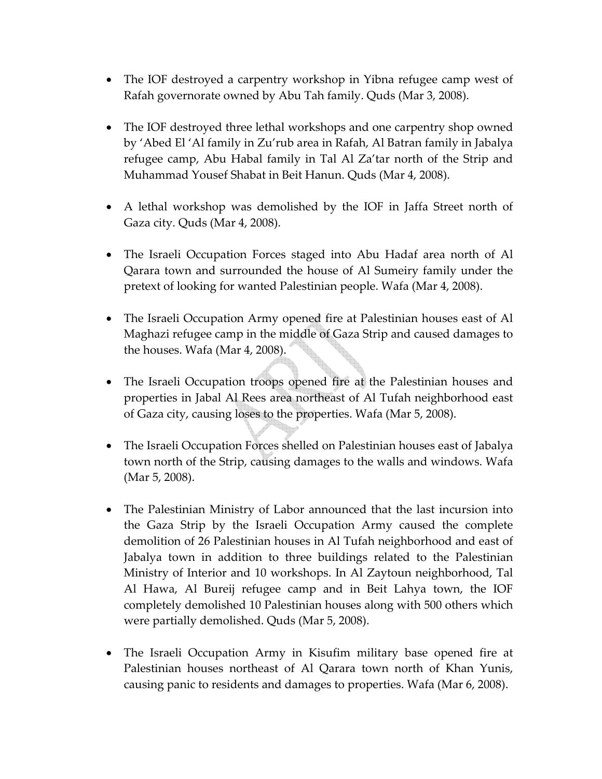- The IOF destroyed a carpentry workshop in Yibna refugee camp west of Rafah governorate owned by Abu Tah family. Quds (Mar 3, 2008).
- The IOF destroyed three lethal workshops and one carpentry shop owned by 'Abed El 'Al family in Zu'rub area in Rafah, Al Batran family in Jabalya refugee camp, Abu Habal family in Tal Al Za'tar north of the Strip and Muhammad Yousef Shabat in Beit Hanun. Quds (Mar 4, 2008).
- A lethal workshop was demolished by the IOF in Jaffa Street north of Gaza city. Quds (Mar 4, 2008).
- The Israeli Occupation Forces staged into Abu Hadaf area north of Al Qarara town and surrounded the house of Al Sumeiry family under the pretext of looking for wanted Palestinian people. Wafa (Mar 4, 2008).
- The Israeli Occupation Army opened fire at Palestinian houses east of Al Maghazi refugee camp in the middle of Gaza Strip and caused damages to the houses. Wafa (Mar 4, 2008).
- The Israeli Occupation troops opened fire at the Palestinian houses and properties in Jabal Al Rees area northeast of Al Tufah neighborhood east of Gaza city, causing loses to the properties. Wafa (Mar 5, 2008).
- The Israeli Occupation Forces shelled on Palestinian houses east of Jabalya town north of the Strip, causing damages to the walls and windows. Wafa (Mar 5, 2008).
- The Palestinian Ministry of Labor announced that the last incursion into the Gaza Strip by the Israeli Occupation Army caused the complete demolition of 26 Palestinian houses in Al Tufah neighborhood and east of Jabalya town in addition to three buildings related to the Palestinian Ministry of Interior and 10 workshops. In Al Zaytoun neighborhood, Tal Al Hawa, Al Bureij refugee camp and in Beit Lahya town, the IOF completely demolished 10 Palestinian houses along with 500 others which were partially demolished. Quds (Mar 5, 2008).
- The Israeli Occupation Army in Kisufim military base opened fire at Palestinian houses northeast of Al Qarara town north of Khan Yunis, causing panic to residents and damages to properties. Wafa (Mar 6, 2008).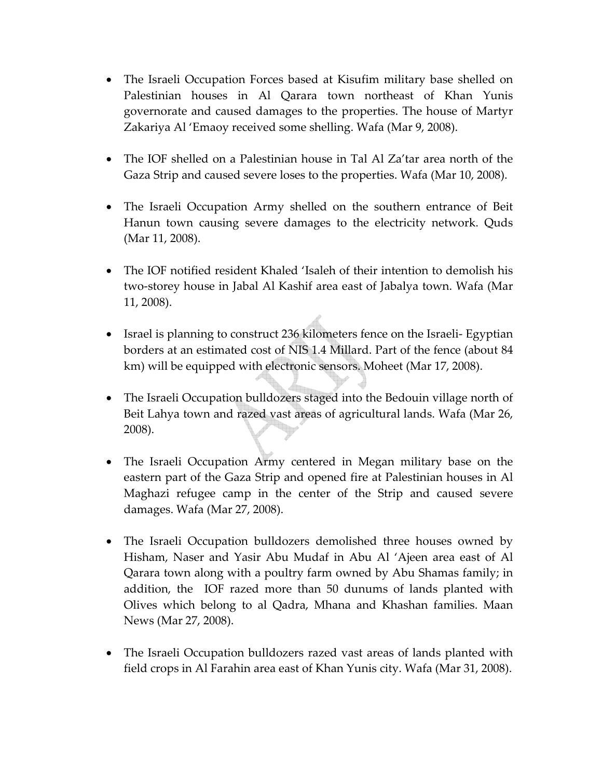- The Israeli Occupation Forces based at Kisufim military base shelled on Palestinian houses in Al Qarara town northeast of Khan Yunis governorate and caused damages to the properties. The house of Martyr Zakariya Al 'Emaoy received some shelling. Wafa (Mar 9, 2008).
- The IOF shelled on a Palestinian house in Tal Al Za'tar area north of the Gaza Strip and caused severe loses to the properties. Wafa (Mar 10, 2008).
- The Israeli Occupation Army shelled on the southern entrance of Beit Hanun town causing severe damages to the electricity network. Quds (Mar 11, 2008).
- The IOF notified resident Khaled 'Isaleh of their intention to demolish his two‐storey house in Jabal Al Kashif area east of Jabalya town. Wafa (Mar 11, 2008).
- Israel is planning to construct 236 kilometers fence on the Israeli- Egyptian borders at an estimated cost of NIS 1.4 Millard. Part of the fence (about 84 km) will be equipped with electronic sensors. Moheet (Mar 17, 2008).
- The Israeli Occupation bulldozers staged into the Bedouin village north of Beit Lahya town and razed vast areas of agricultural lands. Wafa (Mar 26, 2008).
- The Israeli Occupation Army centered in Megan military base on the eastern part of the Gaza Strip and opened fire at Palestinian houses in Al Maghazi refugee camp in the center of the Strip and caused severe damages. Wafa (Mar 27, 2008).
- The Israeli Occupation bulldozers demolished three houses owned by Hisham, Naser and Yasir Abu Mudaf in Abu Al 'Ajeen area east of Al Qarara town along with a poultry farm owned by Abu Shamas family; in addition, the IOF razed more than 50 dunums of lands planted with Olives which belong to al Qadra, Mhana and Khashan families. Maan News (Mar 27, 2008).
- The Israeli Occupation bulldozers razed vast areas of lands planted with field crops in Al Farahin area east of Khan Yunis city. Wafa (Mar 31, 2008).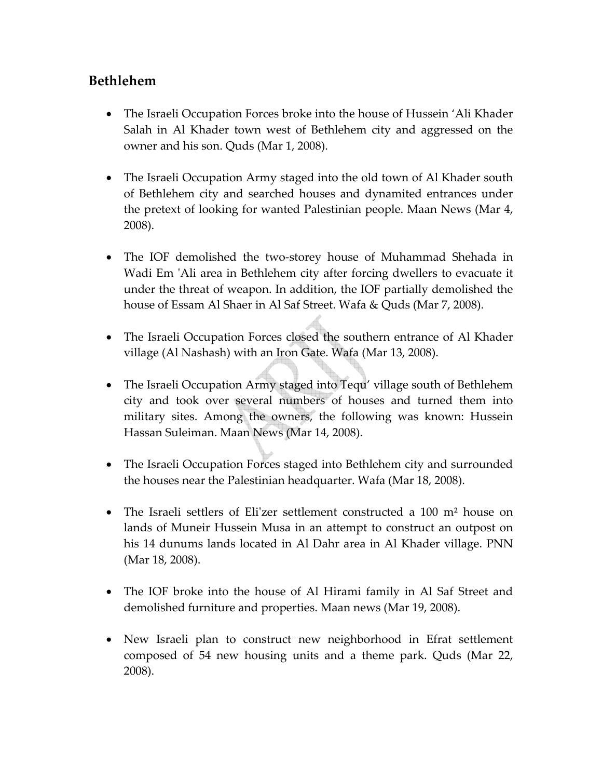## **Bethlehem**

- The Israeli Occupation Forces broke into the house of Hussein 'Ali Khader Salah in Al Khader town west of Bethlehem city and aggressed on the owner and his son. Quds (Mar 1, 2008).
- The Israeli Occupation Army staged into the old town of Al Khader south of Bethlehem city and searched houses and dynamited entrances under the pretext of looking for wanted Palestinian people. Maan News (Mar 4, 2008).
- The IOF demolished the two-storey house of Muhammad Shehada in Wadi Em 'Ali area in Bethlehem city after forcing dwellers to evacuate it under the threat of weapon. In addition, the IOF partially demolished the house of Essam Al Shaer in Al Saf Street. Wafa & Quds (Mar 7, 2008).
- The Israeli Occupation Forces closed the southern entrance of Al Khader village (Al Nashash) with an Iron Gate. Wafa (Mar 13, 2008).
- The Israeli Occupation Army staged into Tequ' village south of Bethlehem city and took over several numbers of houses and turned them into military sites. Among the owners, the following was known: Hussein Hassan Suleiman. Maan News (Mar 14, 2008).
- The Israeli Occupation Forces staged into Bethlehem city and surrounded the houses near the Palestinian headquarter. Wafa (Mar 18, 2008).
- The Israeli settlers of Eli'zer settlement constructed a 100 m<sup>2</sup> house on lands of Muneir Hussein Musa in an attempt to construct an outpost on his 14 dunums lands located in Al Dahr area in Al Khader village. PNN (Mar 18, 2008).
- The IOF broke into the house of Al Hirami family in Al Saf Street and demolished furniture and properties. Maan news (Mar 19, 2008).
- New Israeli plan to construct new neighborhood in Efrat settlement composed of 54 new housing units and a theme park. Quds (Mar 22, 2008).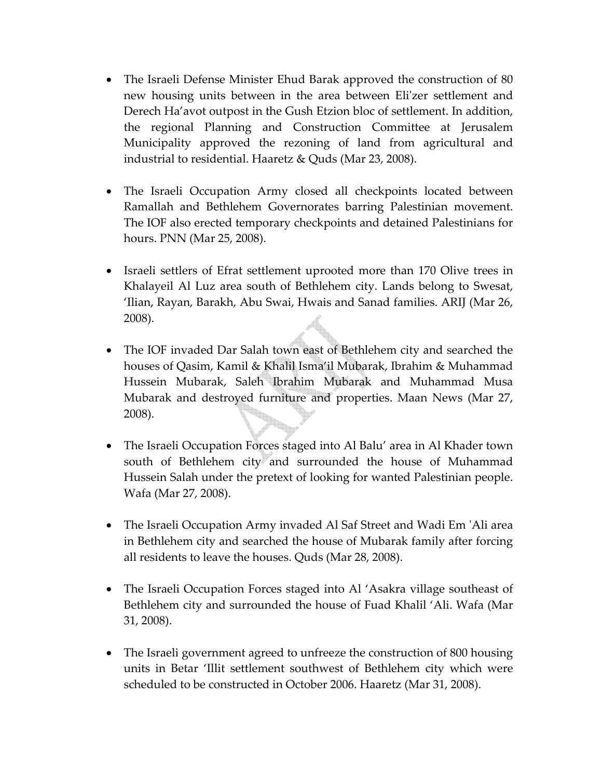- The Israeli Defense Minister Ehud Barak approved the construction of 80 new housing units between in the area between Eliʹzer settlement and Derech Ha'avot outpost in the Gush Etzion bloc of settlement. In addition, the regional Planning and Construction Committee at Jerusalem Municipality approved the rezoning of land from agricultural and industrial to residential. Haaretz & Quds (Mar 23, 2008).
- The Israeli Occupation Army closed all checkpoints located between Ramallah and Bethlehem Governorates barring Palestinian movement. The IOF also erected temporary checkpoints and detained Palestinians for hours. PNN (Mar 25, 2008).
- Israeli settlers of Efrat settlement uprooted more than 170 Olive trees in Khalayeil Al Luz area south of Bethlehem city. Lands belong to Swesat, 'Ilian, Rayan, Barakh, Abu Swai, Hwais and Sanad families. ARIJ (Mar 26, 2008).
- The IOF invaded Dar Salah town east of Bethlehem city and searched the houses of Qasim, Kamil & Khalil Isma'il Mubarak, Ibrahim & Muhammad Hussein Mubarak, Saleh Ibrahim Mubarak and Muhammad Musa Mubarak and destroyed furniture and properties. Maan News (Mar 27, 2008).
- The Israeli Occupation Forces staged into Al Balu' area in Al Khader town south of Bethlehem city and surrounded the house of Muhammad Hussein Salah under the pretext of looking for wanted Palestinian people. Wafa (Mar 27, 2008).
- The Israeli Occupation Army invaded Al Saf Street and Wadi Em 'Ali area in Bethlehem city and searched the house of Mubarak family after forcing all residents to leave the houses. Quds (Mar 28, 2008).
- The Israeli Occupation Forces staged into Al 'Asakra village southeast of Bethlehem city and surrounded the house of Fuad Khalil 'Ali. Wafa (Mar 31, 2008).
- The Israeli government agreed to unfreeze the construction of 800 housing units in Betar 'Illit settlement southwest of Bethlehem city which were scheduled to be constructed in October 2006. Haaretz (Mar 31, 2008).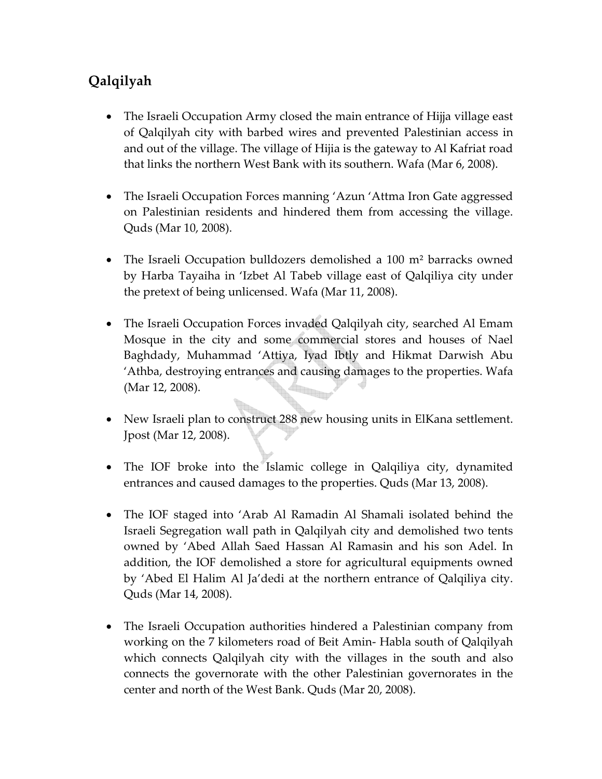## **Qalqilyah**

- The Israeli Occupation Army closed the main entrance of Hijja village east of Qalqilyah city with barbed wires and prevented Palestinian access in and out of the village. The village of Hijia is the gateway to Al Kafriat road that links the northern West Bank with its southern. Wafa (Mar 6, 2008).
- The Israeli Occupation Forces manning 'Azun 'Attma Iron Gate aggressed on Palestinian residents and hindered them from accessing the village. Quds (Mar 10, 2008).
- The Israeli Occupation bulldozers demolished a 100 m<sup>2</sup> barracks owned by Harba Tayaiha in 'Izbet Al Tabeb village east of Qalqiliya city under the pretext of being unlicensed. Wafa (Mar 11, 2008).
- The Israeli Occupation Forces invaded Qalqilyah city, searched Al Emam Mosque in the city and some commercial stores and houses of Nael Baghdady, Muhammad 'Attiya, Iyad Ibtly and Hikmat Darwish Abu 'Athba, destroying entrances and causing damages to the properties. Wafa (Mar 12, 2008).
- New Israeli plan to construct 288 new housing units in ElKana settlement. Jpost (Mar 12, 2008).
- The IOF broke into the Islamic college in Qalqiliya city, dynamited entrances and caused damages to the properties. Quds (Mar 13, 2008).
- The IOF staged into 'Arab Al Ramadin Al Shamali isolated behind the Israeli Segregation wall path in Qalqilyah city and demolished two tents owned by 'Abed Allah Saed Hassan Al Ramasin and his son Adel. In addition, the IOF demolished a store for agricultural equipments owned by 'Abed El Halim Al Ja'dedi at the northern entrance of Qalqiliya city. Quds (Mar 14, 2008).
- The Israeli Occupation authorities hindered a Palestinian company from working on the 7 kilometers road of Beit Amin‐ Habla south of Qalqilyah which connects Qalqilyah city with the villages in the south and also connects the governorate with the other Palestinian governorates in the center and north of the West Bank. Quds (Mar 20, 2008).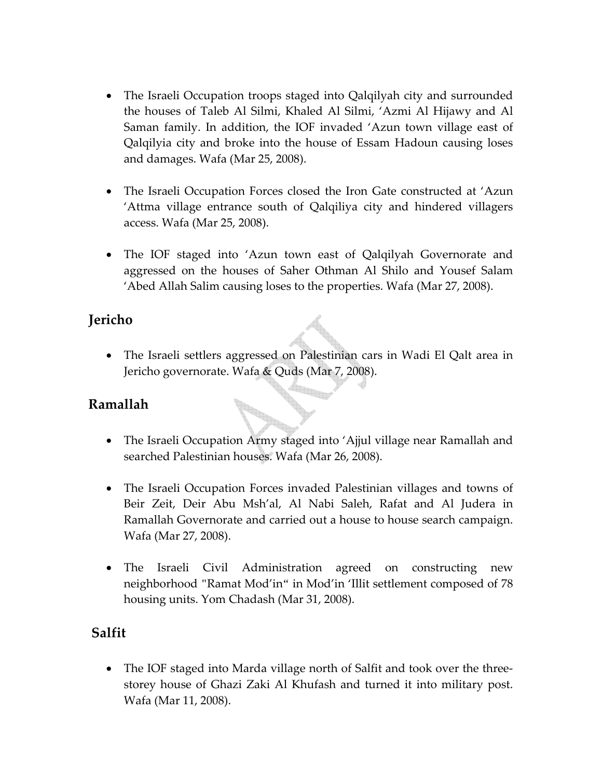- The Israeli Occupation troops staged into Qalqilyah city and surrounded the houses of Taleb Al Silmi, Khaled Al Silmi, 'Azmi Al Hijawy and Al Saman family. In addition, the IOF invaded 'Azun town village east of Qalqilyia city and broke into the house of Essam Hadoun causing loses and damages. Wafa (Mar 25, 2008).
- The Israeli Occupation Forces closed the Iron Gate constructed at 'Azun 'Attma village entrance south of Qalqiliya city and hindered villagers access. Wafa (Mar 25, 2008).
- The IOF staged into 'Azun town east of Qalqilyah Governorate and aggressed on the houses of Saher Othman Al Shilo and Yousef Salam 'Abed Allah Salim causing loses to the properties. Wafa (Mar 27, 2008).

## **Jericho**

• The Israeli settlers aggressed on Palestinian cars in Wadi El Qalt area in Jericho governorate. Wafa & Quds (Mar 7, 2008).

## **Ramallah**

- The Israeli Occupation Army staged into 'Ajjul village near Ramallah and searched Palestinian houses. Wafa (Mar 26, 2008).
- The Israeli Occupation Forces invaded Palestinian villages and towns of Beir Zeit, Deir Abu Msh'al, Al Nabi Saleh, Rafat and Al Judera in Ramallah Governorate and carried out a house to house search campaign. Wafa (Mar 27, 2008).
- The Israeli Civil Administration agreed on constructing new neighborhood "Ramat Mod'in" in Mod'in 'Illit settlement composed of 78 housing units. Yom Chadash (Mar 31, 2008).

## **Salfit**

• The IOF staged into Marda village north of Salfit and took over the threestorey house of Ghazi Zaki Al Khufash and turned it into military post. Wafa (Mar 11, 2008).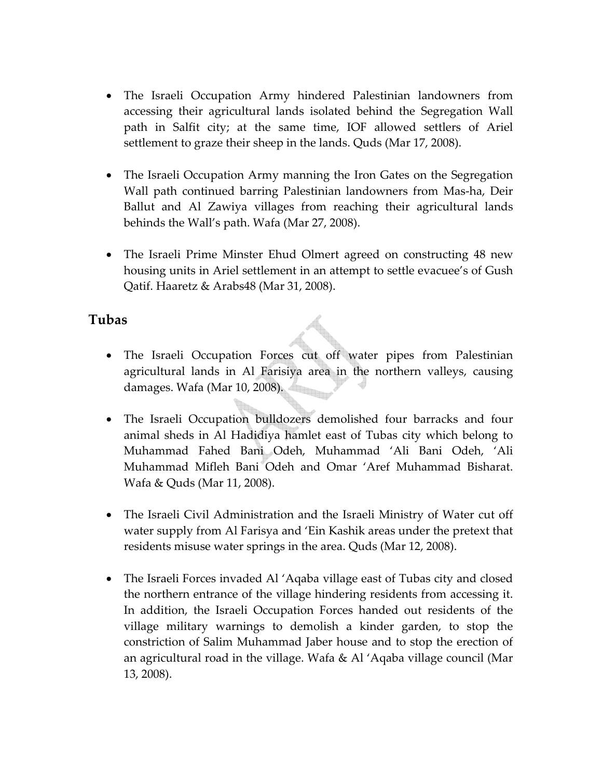- The Israeli Occupation Army hindered Palestinian landowners from accessing their agricultural lands isolated behind the Segregation Wall path in Salfit city; at the same time, IOF allowed settlers of Ariel settlement to graze their sheep in the lands. Quds (Mar 17, 2008).
- The Israeli Occupation Army manning the Iron Gates on the Segregation Wall path continued barring Palestinian landowners from Mas-ha, Deir Ballut and Al Zawiya villages from reaching their agricultural lands behinds the Wall's path. Wafa (Mar 27, 2008).
- The Israeli Prime Minster Ehud Olmert agreed on constructing 48 new housing units in Ariel settlement in an attempt to settle evacuee's of Gush Qatif. Haaretz & Arabs48 (Mar 31, 2008).

#### **Tubas**

- The Israeli Occupation Forces cut off water pipes from Palestinian agricultural lands in Al Farisiya area in the northern valleys, causing damages. Wafa (Mar 10, 2008).
- The Israeli Occupation bulldozers demolished four barracks and four animal sheds in Al Hadidiya hamlet east of Tubas city which belong to Muhammad Fahed Bani Odeh, Muhammad 'Ali Bani Odeh, 'Ali Muhammad Mifleh Bani Odeh and Omar 'Aref Muhammad Bisharat. Wafa & Quds (Mar 11, 2008).
- The Israeli Civil Administration and the Israeli Ministry of Water cut off water supply from Al Farisya and 'Ein Kashik areas under the pretext that residents misuse water springs in the area. Quds (Mar 12, 2008).
- The Israeli Forces invaded Al 'Aqaba village east of Tubas city and closed the northern entrance of the village hindering residents from accessing it. In addition, the Israeli Occupation Forces handed out residents of the village military warnings to demolish a kinder garden, to stop the constriction of Salim Muhammad Jaber house and to stop the erection of an agricultural road in the village. Wafa & Al 'Aqaba village council (Mar 13, 2008).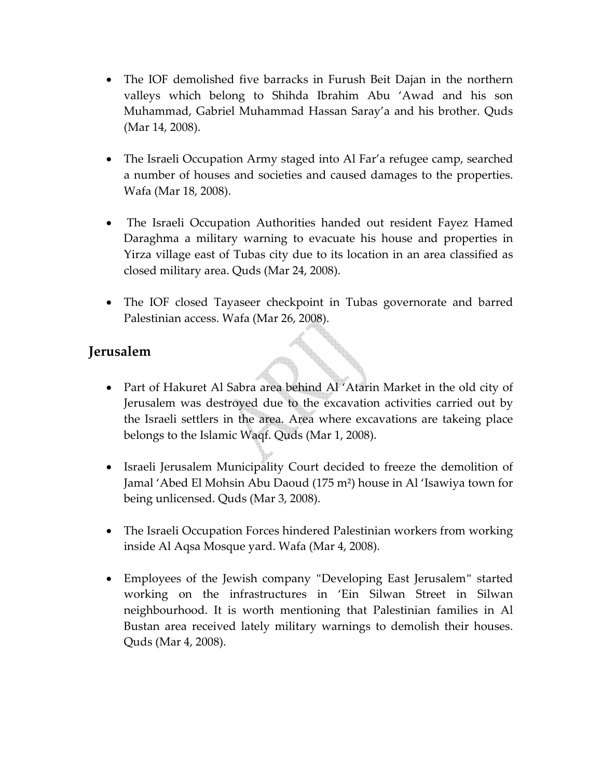- The IOF demolished five barracks in Furush Beit Dajan in the northern valleys which belong to Shihda Ibrahim Abu 'Awad and his son Muhammad, Gabriel Muhammad Hassan Saray'a and his brother. Quds (Mar 14, 2008).
- The Israeli Occupation Army staged into Al Far'a refugee camp, searched a number of houses and societies and caused damages to the properties. Wafa (Mar 18, 2008).
- The Israeli Occupation Authorities handed out resident Fayez Hamed Daraghma a military warning to evacuate his house and properties in Yirza village east of Tubas city due to its location in an area classified as closed military area. Quds (Mar 24, 2008).
- The IOF closed Tayaseer checkpoint in Tubas governorate and barred Palestinian access. Wafa (Mar 26, 2008).

## **Jerusalem**

- Part of Hakuret Al Sabra area behind Al 'Atarin Market in the old city of Jerusalem was destroyed due to the excavation activities carried out by the Israeli settlers in the area. Area where excavations are takeing place belongs to the Islamic Waqf. Quds (Mar 1, 2008).
- Israeli Jerusalem Municipality Court decided to freeze the demolition of Jamal 'Abed El Mohsin Abu Daoud (175 m²) house in Al 'Isawiya town for being unlicensed. Quds (Mar 3, 2008).
- The Israeli Occupation Forces hindered Palestinian workers from working inside Al Aqsa Mosque yard. Wafa (Mar 4, 2008).
- Employees of the Jewish company "Developing East Jerusalem" started working on the infrastructures in 'Ein Silwan Street in Silwan neighbourhood. It is worth mentioning that Palestinian families in Al Bustan area received lately military warnings to demolish their houses. Quds (Mar 4, 2008).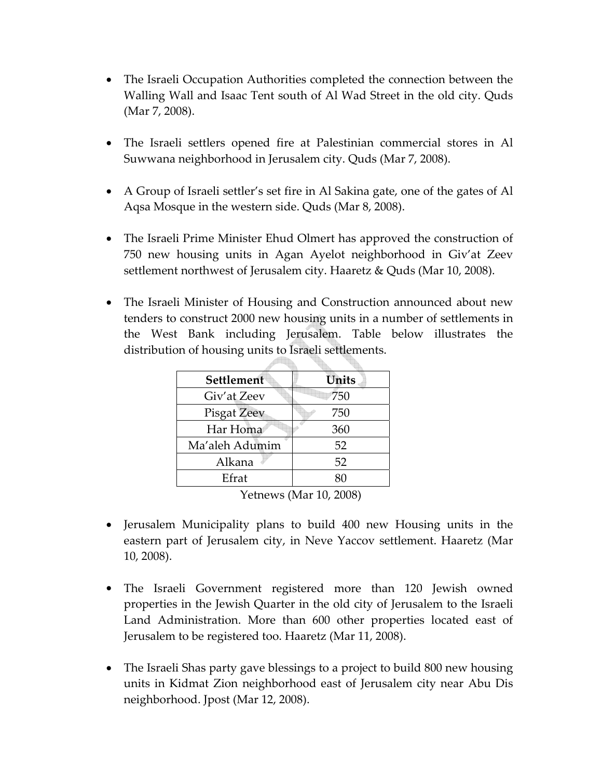- The Israeli Occupation Authorities completed the connection between the Walling Wall and Isaac Tent south of Al Wad Street in the old city. Quds (Mar 7, 2008).
- The Israeli settlers opened fire at Palestinian commercial stores in Al Suwwana neighborhood in Jerusalem city. Quds (Mar 7, 2008).
- A Group of Israeli settler's set fire in Al Sakina gate, one of the gates of Al Aqsa Mosque in the western side. Quds (Mar 8, 2008).
- The Israeli Prime Minister Ehud Olmert has approved the construction of 750 new housing units in Agan Ayelot neighborhood in Giv'at Zeev settlement northwest of Jerusalem city. Haaretz & Quds (Mar 10, 2008).
- The Israeli Minister of Housing and Construction announced about new tenders to construct 2000 new housing units in a number of settlements in the West Bank including Jerusalem. Table below illustrates the distribution of housing units to Israeli settlements.

| Settlement         | Units |  |  |
|--------------------|-------|--|--|
| Giv'at Zeev        | 750   |  |  |
| <b>Pisgat Zeev</b> | 750   |  |  |
| Har Homa           | 360   |  |  |
| Ma'aleh Adumim     | 52    |  |  |
| Alkana             | 52    |  |  |
| Efrat              | 80    |  |  |

Yetnews (Mar 10, 2008)

- Jerusalem Municipality plans to build 400 new Housing units in the eastern part of Jerusalem city, in Neve Yaccov settlement. Haaretz (Mar 10, 2008).
- The Israeli Government registered more than 120 Jewish owned properties in the Jewish Quarter in the old city of Jerusalem to the Israeli Land Administration. More than 600 other properties located east of Jerusalem to be registered too. Haaretz (Mar 11, 2008).
- The Israeli Shas party gave blessings to a project to build 800 new housing units in Kidmat Zion neighborhood east of Jerusalem city near Abu Dis neighborhood. Jpost (Mar 12, 2008).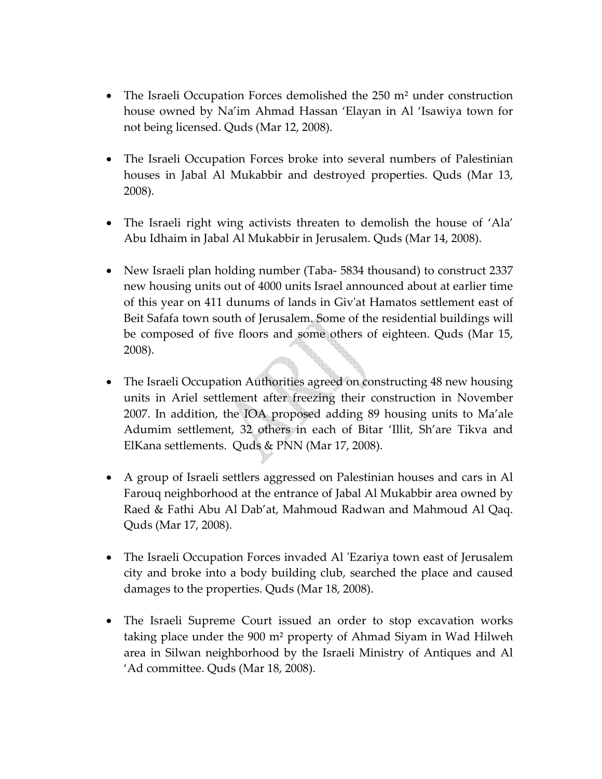- The Israeli Occupation Forces demolished the 250 m<sup>2</sup> under construction house owned by Na'im Ahmad Hassan 'Elayan in Al 'Isawiya town for not being licensed. Quds (Mar 12, 2008).
- The Israeli Occupation Forces broke into several numbers of Palestinian houses in Jabal Al Mukabbir and destroyed properties. Quds (Mar 13, 2008).
- The Israeli right wing activists threaten to demolish the house of 'Ala' Abu Idhaim in Jabal Al Mukabbir in Jerusalem. Quds (Mar 14, 2008).
- New Israeli plan holding number (Taba-5834 thousand) to construct 2337 new housing units out of 4000 units Israel announced about at earlier time of this year on 411 dunums of lands in Givʹat Hamatos settlement east of Beit Safafa town south of Jerusalem. Some of the residential buildings will be composed of five floors and some others of eighteen. Quds (Mar 15, 2008).
- The Israeli Occupation Authorities agreed on constructing 48 new housing units in Ariel settlement after freezing their construction in November 2007. In addition, the IOA proposed adding 89 housing units to Ma'ale Adumim settlement, 32 others in each of Bitar 'Illit, Sh'are Tikva and ElKana settlements. Quds & PNN (Mar 17, 2008).
- A group of Israeli settlers aggressed on Palestinian houses and cars in Al Farouq neighborhood at the entrance of Jabal Al Mukabbir area owned by Raed & Fathi Abu Al Dab'at, Mahmoud Radwan and Mahmoud Al Qaq. Quds (Mar 17, 2008).
- The Israeli Occupation Forces invaded Al 'Ezariya town east of Jerusalem city and broke into a body building club, searched the place and caused damages to the properties. Quds (Mar 18, 2008).
- The Israeli Supreme Court issued an order to stop excavation works taking place under the 900 m² property of Ahmad Siyam in Wad Hilweh area in Silwan neighborhood by the Israeli Ministry of Antiques and Al 'Ad committee. Quds (Mar 18, 2008).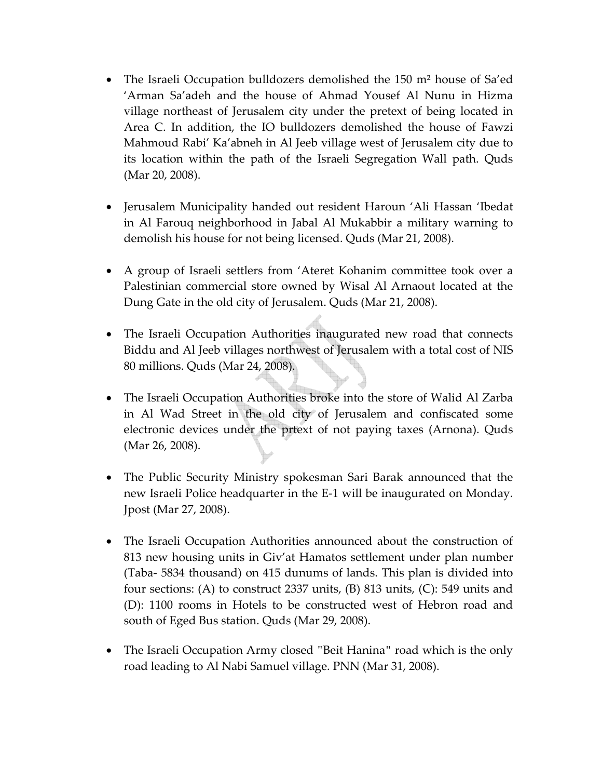- The Israeli Occupation bulldozers demolished the 150 m<sup>2</sup> house of Sa'ed 'Arman Sa'adeh and the house of Ahmad Yousef Al Nunu in Hizma village northeast of Jerusalem city under the pretext of being located in Area C. In addition, the IO bulldozers demolished the house of Fawzi Mahmoud Rabi' Ka'abneh in Al Jeeb village west of Jerusalem city due to its location within the path of the Israeli Segregation Wall path. Quds (Mar 20, 2008).
- Jerusalem Municipality handed out resident Haroun 'Ali Hassan 'Ibedat in Al Farouq neighborhood in Jabal Al Mukabbir a military warning to demolish his house for not being licensed. Quds (Mar 21, 2008).
- A group of Israeli settlers from 'Ateret Kohanim committee took over a Palestinian commercial store owned by Wisal Al Arnaout located at the Dung Gate in the old city of Jerusalem. Quds (Mar 21, 2008).
- The Israeli Occupation Authorities inaugurated new road that connects Biddu and Al Jeeb villages northwest of Jerusalem with a total cost of NIS 80 millions. Quds (Mar 24, 2008).
- The Israeli Occupation Authorities broke into the store of Walid Al Zarba in Al Wad Street in the old city of Jerusalem and confiscated some electronic devices under the prtext of not paying taxes (Arnona). Quds (Mar 26, 2008).
- The Public Security Ministry spokesman Sari Barak announced that the new Israeli Police headquarter in the E‐1 will be inaugurated on Monday. Jpost (Mar 27, 2008).
- The Israeli Occupation Authorities announced about the construction of 813 new housing units in Giv'at Hamatos settlement under plan number (Taba‐ 5834 thousand) on 415 dunums of lands. This plan is divided into four sections: (A) to construct 2337 units, (B) 813 units, (C): 549 units and (D): 1100 rooms in Hotels to be constructed west of Hebron road and south of Eged Bus station. Quds (Mar 29, 2008).
- The Israeli Occupation Army closed "Beit Hanina" road which is the only road leading to Al Nabi Samuel village. PNN (Mar 31, 2008).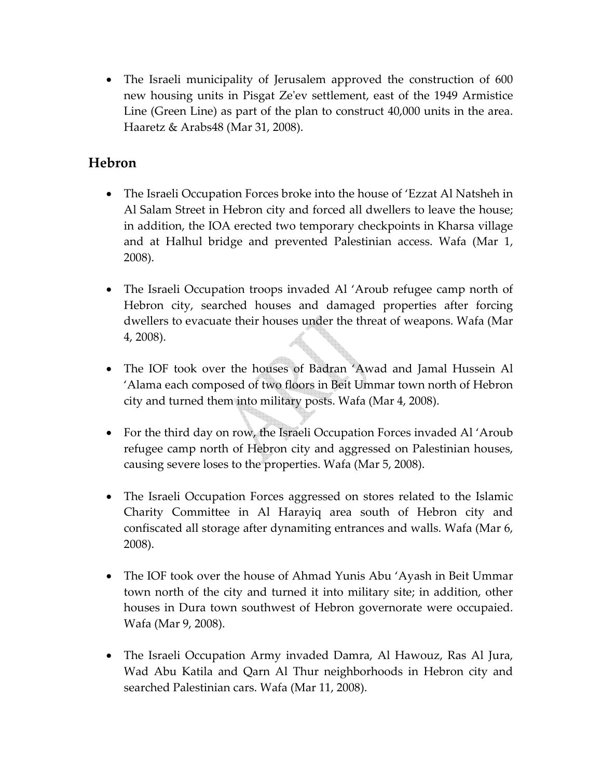• The Israeli municipality of Jerusalem approved the construction of 600 new housing units in Pisgat Zeʹev settlement, east of the 1949 Armistice Line (Green Line) as part of the plan to construct 40,000 units in the area. Haaretz & Arabs48 (Mar 31, 2008).

### **Hebron**

- The Israeli Occupation Forces broke into the house of 'Ezzat Al Natsheh in Al Salam Street in Hebron city and forced all dwellers to leave the house; in addition, the IOA erected two temporary checkpoints in Kharsa village and at Halhul bridge and prevented Palestinian access. Wafa (Mar 1, 2008).
- The Israeli Occupation troops invaded Al 'Aroub refugee camp north of Hebron city, searched houses and damaged properties after forcing dwellers to evacuate their houses under the threat of weapons. Wafa (Mar 4, 2008).
- The IOF took over the houses of Badran 'Awad and Jamal Hussein Al 'Alama each composed of two floors in Beit Ummar town north of Hebron city and turned them into military posts. Wafa (Mar 4, 2008).
- For the third day on row, the Israeli Occupation Forces invaded Al 'Aroub refugee camp north of Hebron city and aggressed on Palestinian houses, causing severe loses to the properties. Wafa (Mar 5, 2008).
- The Israeli Occupation Forces aggressed on stores related to the Islamic Charity Committee in Al Harayiq area south of Hebron city and confiscated all storage after dynamiting entrances and walls. Wafa (Mar 6, 2008).
- The IOF took over the house of Ahmad Yunis Abu 'Ayash in Beit Ummar town north of the city and turned it into military site; in addition, other houses in Dura town southwest of Hebron governorate were occupaied. Wafa (Mar 9, 2008).
- The Israeli Occupation Army invaded Damra, Al Hawouz, Ras Al Jura, Wad Abu Katila and Qarn Al Thur neighborhoods in Hebron city and searched Palestinian cars. Wafa (Mar 11, 2008).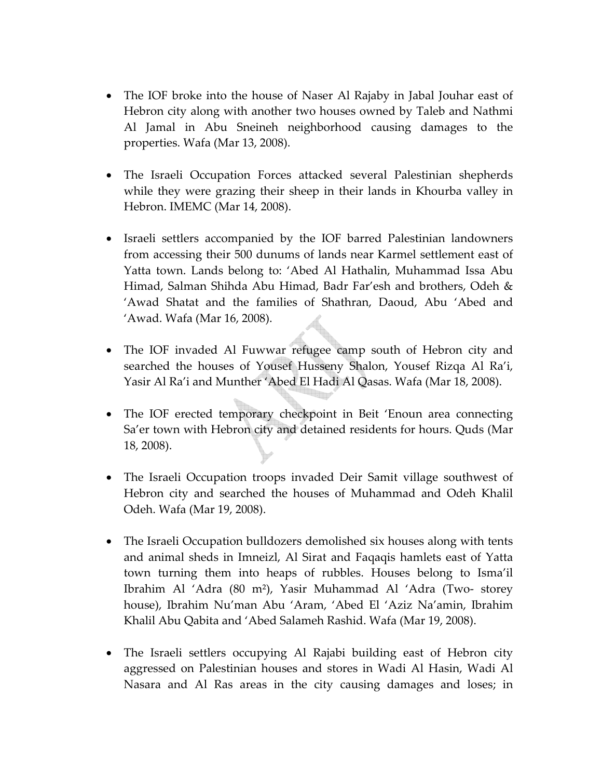- The IOF broke into the house of Naser Al Rajaby in Jabal Jouhar east of Hebron city along with another two houses owned by Taleb and Nathmi Al Jamal in Abu Sneineh neighborhood causing damages to the properties. Wafa (Mar 13, 2008).
- The Israeli Occupation Forces attacked several Palestinian shepherds while they were grazing their sheep in their lands in Khourba valley in Hebron. IMEMC (Mar 14, 2008).
- Israeli settlers accompanied by the IOF barred Palestinian landowners from accessing their 500 dunums of lands near Karmel settlement east of Yatta town. Lands belong to: 'Abed Al Hathalin, Muhammad Issa Abu Himad, Salman Shihda Abu Himad, Badr Far'esh and brothers, Odeh & 'Awad Shatat and the families of Shathran, Daoud, Abu 'Abed and 'Awad. Wafa (Mar 16, 2008).
- The IOF invaded Al Fuwwar refugee camp south of Hebron city and searched the houses of Yousef Husseny Shalon, Yousef Rizqa Al Ra'i, Yasir Al Ra'i and Munther 'Abed El Hadi Al Qasas. Wafa (Mar 18, 2008).
- The IOF erected temporary checkpoint in Beit 'Enoun area connecting Sa'er town with Hebron city and detained residents for hours. Quds (Mar 18, 2008).
- The Israeli Occupation troops invaded Deir Samit village southwest of Hebron city and searched the houses of Muhammad and Odeh Khalil Odeh. Wafa (Mar 19, 2008).
- The Israeli Occupation bulldozers demolished six houses along with tents and animal sheds in Imneizl, Al Sirat and Faqaqis hamlets east of Yatta town turning them into heaps of rubbles. Houses belong to Isma'il Ibrahim Al 'Adra (80 m²), Yasir Muhammad Al 'Adra (Two‐ storey house), Ibrahim Nu'man Abu 'Aram, 'Abed El 'Aziz Na'amin, Ibrahim Khalil Abu Qabita and 'Abed Salameh Rashid. Wafa (Mar 19, 2008).
- The Israeli settlers occupying Al Rajabi building east of Hebron city aggressed on Palestinian houses and stores in Wadi Al Hasin, Wadi Al Nasara and Al Ras areas in the city causing damages and loses; in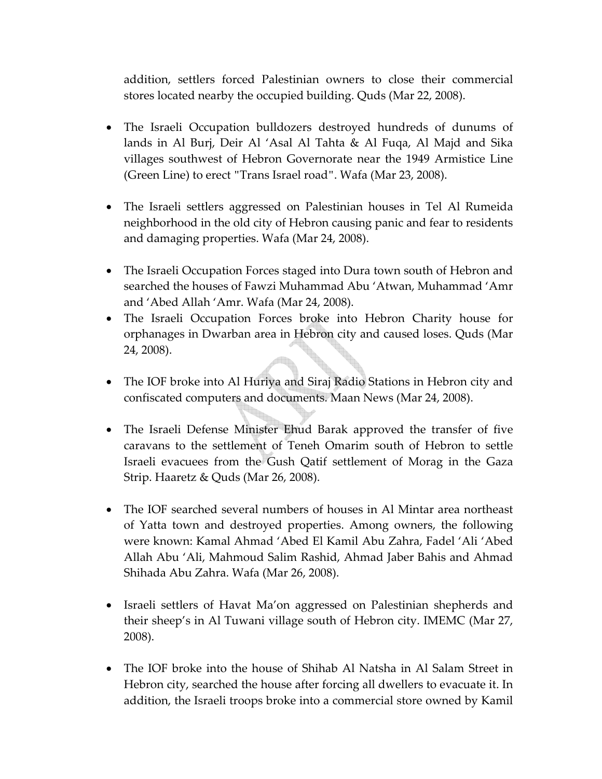addition, settlers forced Palestinian owners to close their commercial stores located nearby the occupied building. Quds (Mar 22, 2008).

- The Israeli Occupation bulldozers destroyed hundreds of dunums of lands in Al Burj, Deir Al 'Asal Al Tahta & Al Fuqa, Al Majd and Sika villages southwest of Hebron Governorate near the 1949 Armistice Line (Green Line) to erect "Trans Israel road". Wafa (Mar 23, 2008).
- The Israeli settlers aggressed on Palestinian houses in Tel Al Rumeida neighborhood in the old city of Hebron causing panic and fear to residents and damaging properties. Wafa (Mar 24, 2008).
- The Israeli Occupation Forces staged into Dura town south of Hebron and searched the houses of Fawzi Muhammad Abu 'Atwan, Muhammad 'Amr and 'Abed Allah 'Amr. Wafa (Mar 24, 2008).
- The Israeli Occupation Forces broke into Hebron Charity house for orphanages in Dwarban area in Hebron city and caused loses. Quds (Mar 24, 2008).
- The IOF broke into Al Huriya and Siraj Radio Stations in Hebron city and confiscated computers and documents. Maan News (Mar 24, 2008).
- The Israeli Defense Minister Ehud Barak approved the transfer of five caravans to the settlement of Teneh Omarim south of Hebron to settle Israeli evacuees from the Gush Qatif settlement of Morag in the Gaza Strip. Haaretz & Quds (Mar 26, 2008).
- The IOF searched several numbers of houses in Al Mintar area northeast of Yatta town and destroyed properties. Among owners, the following were known: Kamal Ahmad 'Abed El Kamil Abu Zahra, Fadel 'Ali 'Abed Allah Abu 'Ali, Mahmoud Salim Rashid, Ahmad Jaber Bahis and Ahmad Shihada Abu Zahra. Wafa (Mar 26, 2008).
- Israeli settlers of Havat Ma'on aggressed on Palestinian shepherds and their sheep's in Al Tuwani village south of Hebron city. IMEMC (Mar 27, 2008).
- The IOF broke into the house of Shihab Al Natsha in Al Salam Street in Hebron city, searched the house after forcing all dwellers to evacuate it. In addition, the Israeli troops broke into a commercial store owned by Kamil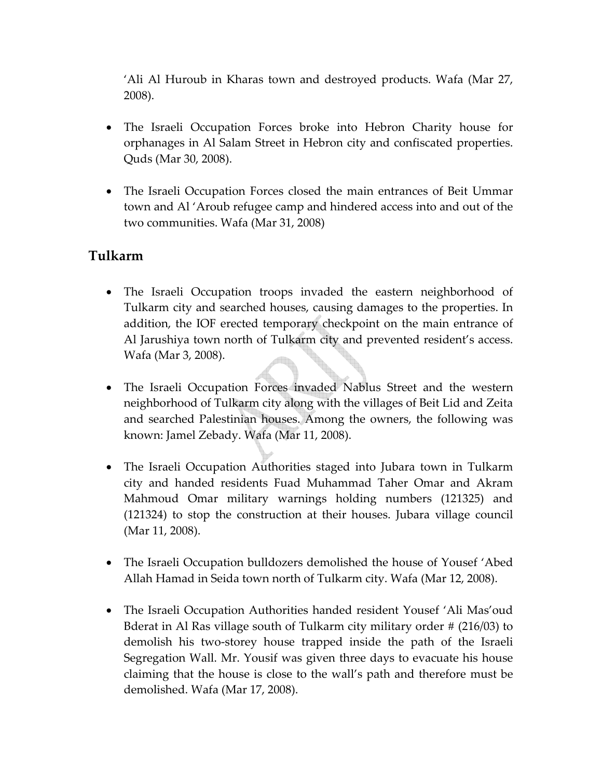'Ali Al Huroub in Kharas town and destroyed products. Wafa (Mar 27, 2008).

- The Israeli Occupation Forces broke into Hebron Charity house for orphanages in Al Salam Street in Hebron city and confiscated properties. Quds (Mar 30, 2008).
- The Israeli Occupation Forces closed the main entrances of Beit Ummar town and Al 'Aroub refugee camp and hindered access into and out of the two communities. Wafa (Mar 31, 2008)

#### **Tulkarm**

- The Israeli Occupation troops invaded the eastern neighborhood of Tulkarm city and searched houses, causing damages to the properties. In addition, the IOF erected temporary checkpoint on the main entrance of Al Jarushiya town north of Tulkarm city and prevented resident's access. Wafa (Mar 3, 2008).
- The Israeli Occupation Forces invaded Nablus Street and the western neighborhood of Tulkarm city along with the villages of Beit Lid and Zeita and searched Palestinian houses. Among the owners, the following was known: Jamel Zebady. Wafa (Mar 11, 2008).
- The Israeli Occupation Authorities staged into Jubara town in Tulkarm city and handed residents Fuad Muhammad Taher Omar and Akram Mahmoud Omar military warnings holding numbers (121325) and (121324) to stop the construction at their houses. Jubara village council (Mar 11, 2008).
- The Israeli Occupation bulldozers demolished the house of Yousef 'Abed Allah Hamad in Seida town north of Tulkarm city. Wafa (Mar 12, 2008).
- The Israeli Occupation Authorities handed resident Yousef 'Ali Mas'oud Bderat in Al Ras village south of Tulkarm city military order # (216/03) to demolish his two‐storey house trapped inside the path of the Israeli Segregation Wall. Mr. Yousif was given three days to evacuate his house claiming that the house is close to the wall's path and therefore must be demolished. Wafa (Mar 17, 2008).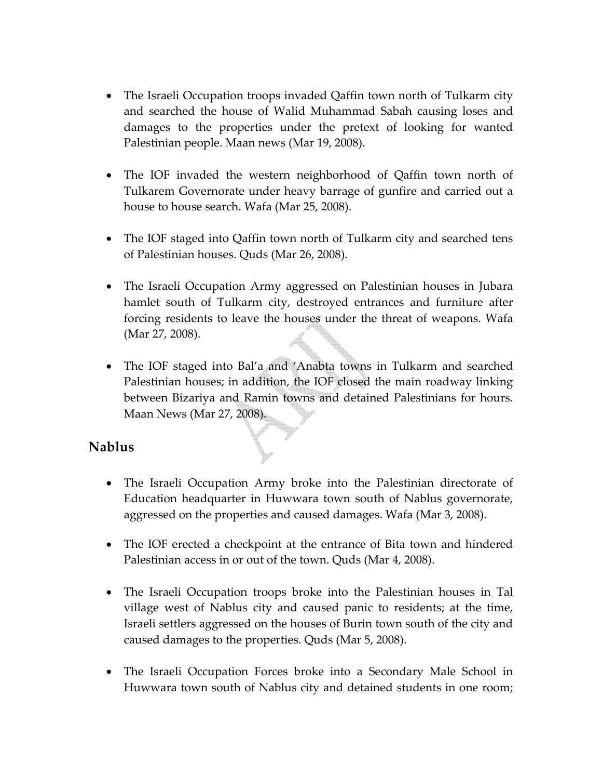- The Israeli Occupation troops invaded Qaffin town north of Tulkarm city and searched the house of Walid Muhammad Sabah causing loses and damages to the properties under the pretext of looking for wanted Palestinian people. Maan news (Mar 19, 2008).
- The IOF invaded the western neighborhood of Qaffin town north of Tulkarem Governorate under heavy barrage of gunfire and carried out a house to house search. Wafa (Mar 25, 2008).
- The IOF staged into Qaffin town north of Tulkarm city and searched tens of Palestinian houses. Quds (Mar 26, 2008).
- The Israeli Occupation Army aggressed on Palestinian houses in Jubara hamlet south of Tulkarm city, destroyed entrances and furniture after forcing residents to leave the houses under the threat of weapons. Wafa (Mar 27, 2008).
- The IOF staged into Bal'a and 'Anabta towns in Tulkarm and searched Palestinian houses; in addition, the IOF closed the main roadway linking between Bizariya and Ramin towns and detained Palestinians for hours. Maan News (Mar 27, 2008).

#### **Nablus**

- The Israeli Occupation Army broke into the Palestinian directorate of Education headquarter in Huwwara town south of Nablus governorate, aggressed on the properties and caused damages. Wafa (Mar 3, 2008).
- The IOF erected a checkpoint at the entrance of Bita town and hindered Palestinian access in or out of the town. Quds (Mar 4, 2008).
- The Israeli Occupation troops broke into the Palestinian houses in Tal village west of Nablus city and caused panic to residents; at the time, Israeli settlers aggressed on the houses of Burin town south of the city and caused damages to the properties. Quds (Mar 5, 2008).
- The Israeli Occupation Forces broke into a Secondary Male School in Huwwara town south of Nablus city and detained students in one room;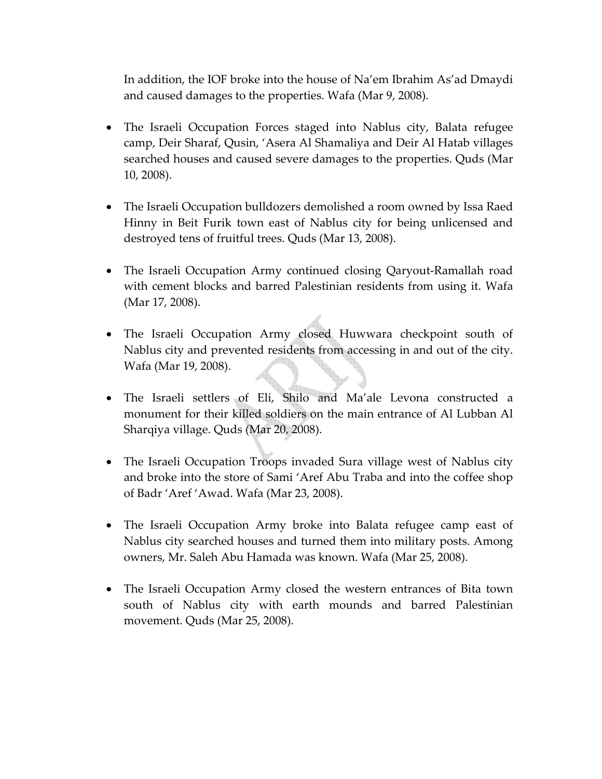In addition, the IOF broke into the house of Na'em Ibrahim As'ad Dmaydi and caused damages to the properties. Wafa (Mar 9, 2008).

- The Israeli Occupation Forces staged into Nablus city, Balata refugee camp, Deir Sharaf, Qusin, 'Asera Al Shamaliya and Deir Al Hatab villages searched houses and caused severe damages to the properties. Quds (Mar 10, 2008).
- The Israeli Occupation bulldozers demolished a room owned by Issa Raed Hinny in Beit Furik town east of Nablus city for being unlicensed and destroyed tens of fruitful trees. Quds (Mar 13, 2008).
- The Israeli Occupation Army continued closing Qaryout-Ramallah road with cement blocks and barred Palestinian residents from using it. Wafa (Mar 17, 2008).
- The Israeli Occupation Army closed Huwwara checkpoint south of Nablus city and prevented residents from accessing in and out of the city. Wafa (Mar 19, 2008).
- The Israeli settlers of Eli, Shilo and Ma'ale Levona constructed a monument for their killed soldiers on the main entrance of Al Lubban Al Sharqiya village. Quds (Mar 20, 2008).
- The Israeli Occupation Troops invaded Sura village west of Nablus city and broke into the store of Sami 'Aref Abu Traba and into the coffee shop of Badr 'Aref 'Awad. Wafa (Mar 23, 2008).
- The Israeli Occupation Army broke into Balata refugee camp east of Nablus city searched houses and turned them into military posts. Among owners, Mr. Saleh Abu Hamada was known. Wafa (Mar 25, 2008).
- The Israeli Occupation Army closed the western entrances of Bita town south of Nablus city with earth mounds and barred Palestinian movement. Quds (Mar 25, 2008).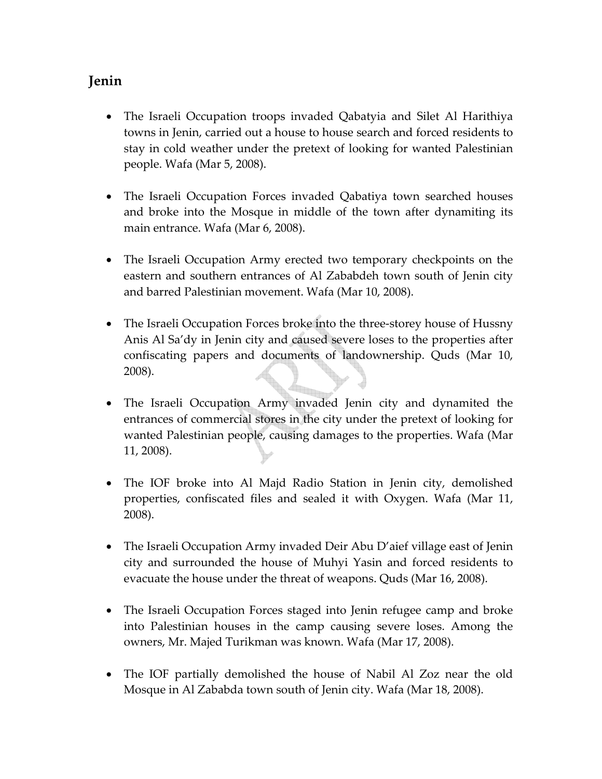## **Jenin**

- The Israeli Occupation troops invaded Qabatyia and Silet Al Harithiya towns in Jenin, carried out a house to house search and forced residents to stay in cold weather under the pretext of looking for wanted Palestinian people. Wafa (Mar 5, 2008).
- The Israeli Occupation Forces invaded Qabatiya town searched houses and broke into the Mosque in middle of the town after dynamiting its main entrance. Wafa (Mar 6, 2008).
- The Israeli Occupation Army erected two temporary checkpoints on the eastern and southern entrances of Al Zababdeh town south of Jenin city and barred Palestinian movement. Wafa (Mar 10, 2008).
- The Israeli Occupation Forces broke into the three-storey house of Hussny Anis Al Sa'dy in Jenin city and caused severe loses to the properties after confiscating papers and documents of landownership. Quds (Mar 10, 2008).
- The Israeli Occupation Army invaded Jenin city and dynamited the entrances of commercial stores in the city under the pretext of looking for wanted Palestinian people, causing damages to the properties. Wafa (Mar 11, 2008).
- The IOF broke into Al Majd Radio Station in Jenin city, demolished properties, confiscated files and sealed it with Oxygen. Wafa (Mar 11, 2008).
- The Israeli Occupation Army invaded Deir Abu D'aief village east of Jenin city and surrounded the house of Muhyi Yasin and forced residents to evacuate the house under the threat of weapons. Quds (Mar 16, 2008).
- The Israeli Occupation Forces staged into Jenin refugee camp and broke into Palestinian houses in the camp causing severe loses. Among the owners, Mr. Majed Turikman was known. Wafa (Mar 17, 2008).
- The IOF partially demolished the house of Nabil Al Zoz near the old Mosque in Al Zababda town south of Jenin city. Wafa (Mar 18, 2008).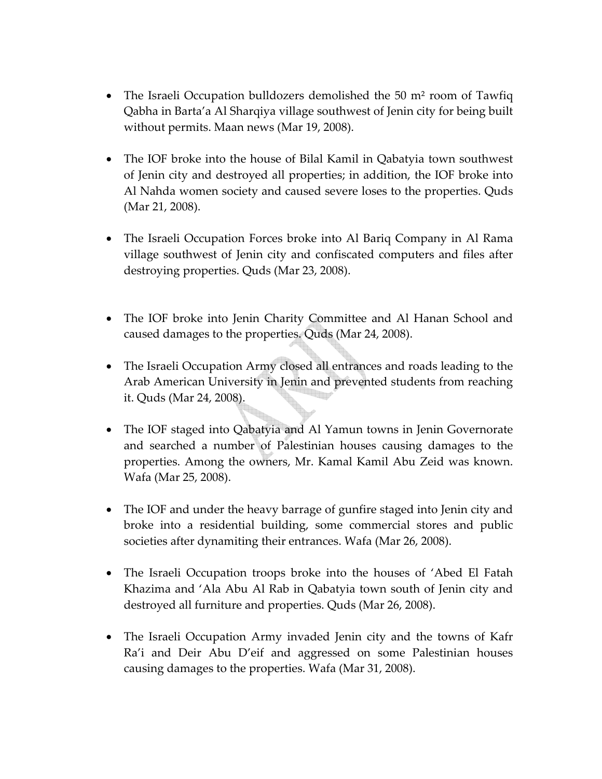- The Israeli Occupation bulldozers demolished the 50  $m<sup>2</sup>$  room of Tawfiq Qabha in Barta'a Al Sharqiya village southwest of Jenin city for being built without permits. Maan news (Mar 19, 2008).
- The IOF broke into the house of Bilal Kamil in Qabatyia town southwest of Jenin city and destroyed all properties; in addition, the IOF broke into Al Nahda women society and caused severe loses to the properties. Quds (Mar 21, 2008).
- The Israeli Occupation Forces broke into Al Bariq Company in Al Rama village southwest of Jenin city and confiscated computers and files after destroying properties. Quds (Mar 23, 2008).
- The IOF broke into Jenin Charity Committee and Al Hanan School and caused damages to the properties. Quds (Mar 24, 2008).
- The Israeli Occupation Army closed all entrances and roads leading to the Arab American University in Jenin and prevented students from reaching it. Quds (Mar 24, 2008).
- The IOF staged into Qabatyia and Al Yamun towns in Jenin Governorate and searched a number of Palestinian houses causing damages to the properties. Among the owners, Mr. Kamal Kamil Abu Zeid was known. Wafa (Mar 25, 2008).
- The IOF and under the heavy barrage of gunfire staged into Jenin city and broke into a residential building, some commercial stores and public societies after dynamiting their entrances. Wafa (Mar 26, 2008).
- The Israeli Occupation troops broke into the houses of 'Abed El Fatah Khazima and 'Ala Abu Al Rab in Qabatyia town south of Jenin city and destroyed all furniture and properties. Quds (Mar 26, 2008).
- The Israeli Occupation Army invaded Jenin city and the towns of Kafr Ra'i and Deir Abu D'eif and aggressed on some Palestinian houses causing damages to the properties. Wafa (Mar 31, 2008).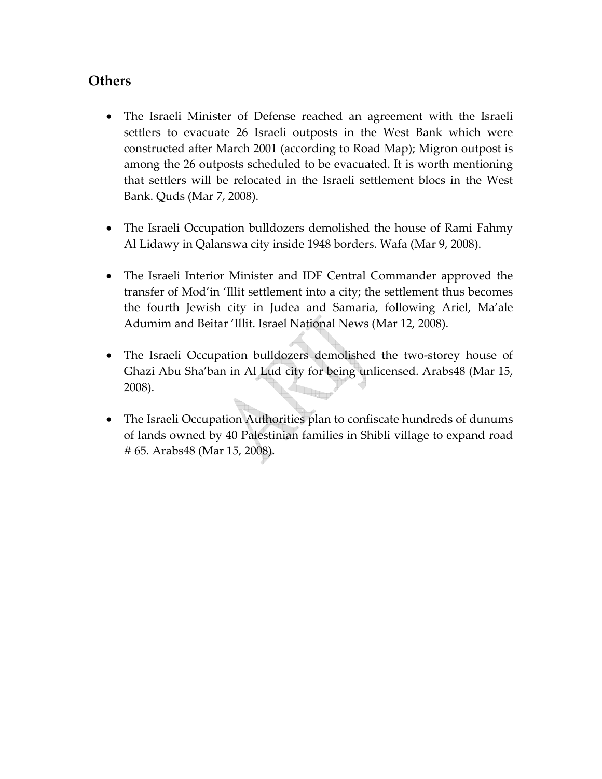### **Others**

- The Israeli Minister of Defense reached an agreement with the Israeli settlers to evacuate 26 Israeli outposts in the West Bank which were constructed after March 2001 (according to Road Map); Migron outpost is among the 26 outposts scheduled to be evacuated. It is worth mentioning that settlers will be relocated in the Israeli settlement blocs in the West Bank. Quds (Mar 7, 2008).
- The Israeli Occupation bulldozers demolished the house of Rami Fahmy Al Lidawy in Qalanswa city inside 1948 borders. Wafa (Mar 9, 2008).
- The Israeli Interior Minister and IDF Central Commander approved the transfer of Mod'in 'Illit settlement into a city; the settlement thus becomes the fourth Jewish city in Judea and Samaria, following Ariel, Ma'ale Adumim and Beitar 'Illit. Israel National News (Mar 12, 2008).
- The Israeli Occupation bulldozers demolished the two-storey house of Ghazi Abu Sha'ban in Al Lud city for being unlicensed. Arabs48 (Mar 15, 2008). **form**
- The Israeli Occupation Authorities plan to confiscate hundreds of dunums of lands owned by 40 Palestinian families in Shibli village to expand road # 65. Arabs48 (Mar 15, 2008).